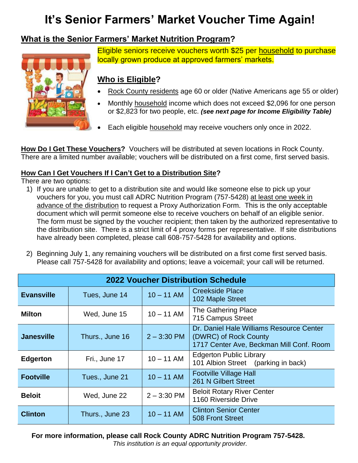# **It's Senior Farmers' Market Voucher Time Again!**

# **What is the Senior Farmers' Market Nutrition Program?**



Eligible seniors receive vouchers worth \$25 per household to purchase locally grown produce at approved farmers' markets.

# **Who is Eligible?**

- Rock County residents age 60 or older (Native Americans age 55 or older)
- Monthly household income which does not exceed \$2,096 for one person or \$2,823 for two people, etc. *(see next page for Income Eligibility Table)*
- Each eligible household may receive vouchers only once in 2022.

**How Do I Get These Vouchers?** Vouchers will be distributed at seven locations in Rock County. There are a limited number available; vouchers will be distributed on a first come, first served basis.

## **How Can I Get Vouchers If I Can't Get to a Distribution Site?**

There are two options:

- 1) If you are unable to get to a distribution site and would like someone else to pick up your vouchers for you, you must call ADRC Nutrition Program (757-5428) at least one week in advance of the distribution to request a Proxy Authorization Form. This is the only acceptable document which will permit someone else to receive vouchers on behalf of an eligible senior. The form must be signed by the voucher recipient; then taken by the authorized representative to the distribution site. There is a strict limit of 4 proxy forms per representative. If site distributions have already been completed, please call 608-757-5428 for availability and options.
- 2) Beginning July 1, any remaining vouchers will be distributed on a first come first served basis. Please call 757-5428 for availability and options; leave a voicemail; your call will be returned.

| <b>2022 Voucher Distribution Schedule</b> |                 |               |                                                                                                               |  |  |
|-------------------------------------------|-----------------|---------------|---------------------------------------------------------------------------------------------------------------|--|--|
| <b>Evansville</b>                         | Tues, June 14   | $10 - 11$ AM  | <b>Creekside Place</b><br>102 Maple Street                                                                    |  |  |
| <b>Milton</b>                             | Wed, June 15    | $10 - 11$ AM  | The Gathering Place<br>715 Campus Street                                                                      |  |  |
| <b>Janesville</b>                         | Thurs., June 16 | $2 - 3:30$ PM | Dr. Daniel Hale Williams Resource Center<br>(DWRC) of Rock County<br>1717 Center Ave, Beckman Mill Conf. Room |  |  |
| <b>Edgerton</b>                           | Fri., June 17   | $10 - 11$ AM  | <b>Edgerton Public Library</b><br>101 Albion Street (parking in back)                                         |  |  |
| <b>Footville</b>                          | Tues., June 21  | $10 - 11$ AM  | <b>Footville Village Hall</b><br>261 N Gilbert Street                                                         |  |  |
| <b>Beloit</b>                             | Wed, June 22    | $2 - 3:30$ PM | <b>Beloit Rotary River Center</b><br>1160 Riverside Drive                                                     |  |  |
| <b>Clinton</b>                            | Thurs., June 23 | $10 - 11$ AM  | <b>Clinton Senior Center</b><br>508 Front Street                                                              |  |  |

**For more information, please call Rock County ADRC Nutrition Program 757-5428.**

*This institution is an equal opportunity provider.*